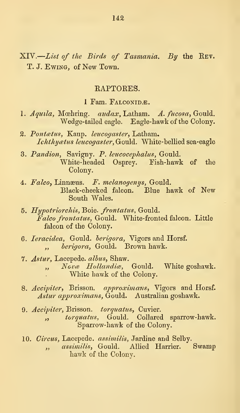XIV. List of the Birds of Tasmania. By the Rev. T. J. EWING, of New Town.

#### EAPTORES.

1 Fam. FALCONIDÆ.

- 1. Aquila, Moehring. audax, Latham. A. fucosa, Gould. Wedge-tailed eagle. Eagle-hawk of the Colony.
- 2. Pontætus, Kaup. leucogaster, Latham. Ichthyatus leucogaster, Gould. White-bellied sea-eagle
- 3. Pandion, Savigny. P. leucocephahis, Gould. White-headed Osprey. Eish-hawk of the Colony.
- 4. Falco, Linnæus. F. melanogenys, Gould. Black-cheeked falcon. Blue hawk of New South Wales.
- 5. Hypotriorchis, Boie. frontatus, Gould. Falco frontatus, Gould. White-fronted falcon. Little falcon of the Colony.
- 6. leracidea, Gould, herigora, Vigors and Horsf. ., berigora, Gould. Brown hawk.
- 7. Astur, Lacepede. alhus, Shaw. ,, Novæ Hollandiæ, Gould. White goshawk. White hawk of the Colony.
- 8. Accipiter, Brisson. approximans, Vigors and Horsf. Astur approximans, Gould. Australian goshawk.
- 9. Accipiter, Brisson. torquatus, Cuvier. ,, torquatus, Gould. Collared sparrow-hawk. Sparrow-hawk of the Colony.
- 10. Circus, Lacepede. assimilis, Jardine and Selby. " assimilis, Gould. Allied Harrier. Swamp hawk of the Colony.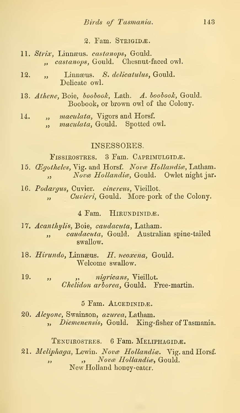#### 2. Fam. STRIGIDÆ.

- 11. Strix, Linnæus. castanops, Gould. ., castanops, Gould. Chesnut-faced owl.
- 12. " Linnæus. S. delicatulus, Gould. Delicate owl.
- 13. Athene, Boie, boobook, Lath. A. boobook, Gould. Boobook, or brown owl of the Colony.
- 14. ..., *maculata*, Vigors and Horsf. ., *maculata*, Gould. Spotted owl.

### INSESSOEES,

FISSIROSTRES. 3 Fam. CAPRIMULGIDE.

- 15. Œgotheles, Vig. and Horsf. Novæ Hollandiæ, Latham. ,, Novæ Hollandiæ, Gould. Owlet night jar.
- 16. Podargus, Cuvier. cinereus, Vieillot. , Cuvieri, Gould. More-pork of the Colony.

4 Fam. HIRUNDINIDÆ.

- 17. Acanthylis, Boie, caudacuta, Latham. , caudacuta, Gould. Australian spine-tailed swallow.
- 18. Hirundo, Linnæus. H. neoxena, Gould. Welcome swallow.
- 19. ,, *nigricans*, Vieillot. Chelidon arborea, Gould. Eree-martin.

### 5 Fam. ALCEDINIDE.

20. Alcyone, Swainson, azurea, Latham. , *Diemenensis*, Gould. King-fisher of Tasmania.

TENUIROSTRES. 6 Fam. MELIPHAGIDÆ.

21. Meliphaga, Lewin. Novæ Hollandiæ. Vig. and Horsf. ", Novæ Hollandiæ, Gould. New Holland honey-eater.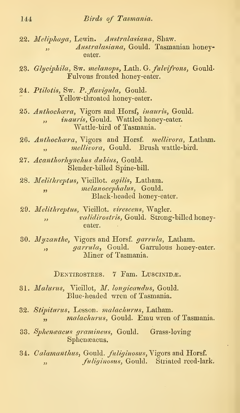- 22. Meliphaga, Lewin. Australasiana, Shaw. " Australasiana, Gould. Tasmanian honeyeater.
- 23. Glyciphila, Sw. melanops, Lath. G. fulvifrons, Gould-Fulvous fronted honey-eater.
- 24. Ptilotis, Sw. P. flavigula, Gould. Yellow-throated honey-eater.
- 25. Anthochara, Vigors and Horsf, inauris, Gould. ,, *inauris*, Gould. Wattled honey-eater. Wattle-hird of Tasmania.
- 26. Anthochara, Vigors and Horsf. mellivora, Latham. .. mellivora, Gould. Brush wattle-bird.
- 27. Acanthorhynchus dubius, Gould. Slender-billed Spine-bill.
- 28. Melithreptus, Vieillot. agilis, Latham. " melanocephalus, Gould. Black-headed honey-eater.
- 29. Melithreptus, Vieillot. virescens, Wagler. " validirostris, Gould. Strong-billed honeyeater.
- 30. Myzanthe, Vigors and Horsf, garrula, Latham. , *garrula*, Gould. Garrulous honey-eater. Miner of Tasmania.

DENTIROSTRES. 7 Fam. LUSCINIDÆ.

- 31. Malurus, Vieillot, M. longicaudus, Gould. Blue-headed wren of Tasmania.
- 32. Stipiturus, Lesson. malachurus, Latham. ", malachurus, Gould. Emu wren of Tasmania.
- 33. Sphenaacus gramineus, Gould. Grass-loving Sphenseacus.
- 34. Calamanthus, Gould. fuliginosus, Vigors and Horsf. " fuliginosus, Gould. Striated reed-lark.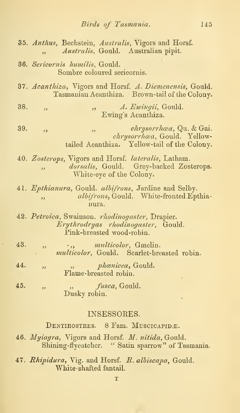|     | 35. Anthus, Bechstein, Australis, Vigors and Horsf.<br>Australis, Gould. Australian pipit.<br>$\overline{\mathbf{z}}$                                 |
|-----|-------------------------------------------------------------------------------------------------------------------------------------------------------|
|     | <b>36.</b> Sericornis humilis, Gould.<br>Sombre coloured sericornis.                                                                                  |
|     | 37. Acanthiza, Vigors and Horsf. A. Diemenensis, Gould.<br>Tasmanian Acanthiza. Brown-tail of the Colony.                                             |
| 38. | A. Ewingii, Gould.<br>$22 -$<br>, 2, 3<br>Ewing's Acanthiza.                                                                                          |
| 39. | chrysorrhœa, Qu. & Gai.<br>55 <sub>1</sub><br>$, \overline{\ }$<br>chrysorrhæa, Gould. Yellow-<br>tailed Acanthiza. Yellow-tail of the Colony.        |
|     | 40. Zosterops, Vigors and Horsf. lateralis, Latham.<br>dorsalis, Gould. Grey-backed Zosterops.<br>$\overline{\mathbf{5}}$<br>White-eye of the Colony. |
|     | 41. Epthianura, Gould. albifrons, Jardine and Selby.<br>albifrons, Gould. White-fronted Epthia-<br>$\overline{\phantom{a}}$<br>nura.                  |
|     | 42. Petroica, Swainson. rhodinogaster, Drapier.<br>Erythrodryas rhodinogaster, Gould.<br>Pink-breasted wood-robin.                                    |
| 43. | <i>multicolor</i> , Gmelin.<br>$\cdot$ , ,<br>53<br>multicolor, Gould. Scarlet-breasted robin.                                                        |
| 44. | <i>phænicea</i> , Gould.<br>$\overline{\mathbf{5}}$<br>53<br>Flame-breasted robin.                                                                    |
| 45. | fusca, Gould.<br>وو<br>53<br>Dusky robin.                                                                                                             |
|     | INSESSORES.                                                                                                                                           |

DENTIROSTRES. 8 Fam. MUSCICAPIDÆ.

46.  $Myiagra$ , Vigors and Horsf.  $M$ .  $nitida$ , Gould.  $\hfill\blacksquare$ Shining-flycatcher. " Satin sparrow" of Tasmania.

47. *Rhipidura*, Vig. and Horsf. *R. albiscapa*, Gould. White -shafted fantail.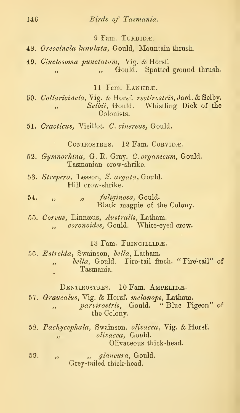9 Fam. TURDIDA.

- 48. Oreocincla lunulata, Gould, Mountain thrush.
- 49. Cinclosoma punctatum, Vig. & Horsf. ", Gould. Spotted ground thrush.

11 Fam. LANIIDÆ.

- 50. Colluricincla, Vig. & Horsf. rectirostris, Jard. & Selby. ,, Selbii, Gould. Whistling Dick of the Colonists.
- 51. Cracticus, Vieillot. C. cinereus, Gould.

CONIROSTRES. 12 Fam. CORVIDÆ.

- 52. Gymnorhina, G. R. Gray. C. organicum, Gould. Tasmanian crow-shrike.
- 53. Strepera, Lesson, S. arguta, Gould. Hill crow- shrike.
- 54. " , fuliginosa, Gould. Black magpie of the Colony.
- 55. Corvus, Linnseus, Australis, Latham. ,, coronoides, Gould. White-eyed crow.

13 Fam. FRINGILLIDÆ.

56. Estrelda, Swainson, hella, Latham. ,, bella, Gould. Fire-tail finch. "Fire-tail" of Tasmania.

DENTIROSTRES. 10 Fam. AMPELIDE.

- 57. Graucalus, Vig. & Horsf. melanops, Latham. " parvirostris, Gould. " Blue Pigeon" of the Colony.
- 58. Pachycephala, Swainson. olivacea, Vig. & Horsf. ", blivacea, Gould. Olivaceous thick -head.
- $59.$ ,  $\frac{1}{2}$ ,  $\frac{1}{2}$ ,  $\frac{1}{2}$ ,  $\frac{1}{2}$ ,  $\frac{1}{2}$ ,  $\frac{1}{2}$ ,  $\frac{1}{2}$ ,  $\frac{1}{2}$ ,  $\frac{1}{2}$ ,  $\frac{1}{2}$ ,  $\frac{1}{2}$ ,  $\frac{1}{2}$ ,  $\frac{1}{2}$ ,  $\frac{1}{2}$ ,  $\frac{1}{2}$ ,  $\frac{1}{2}$ ,  $\frac{1}{2}$ ,  $\frac{1}{2}$ ,  $\frac{1}{2}$ ,  $\frac{1$ Grey-tailed thick-head.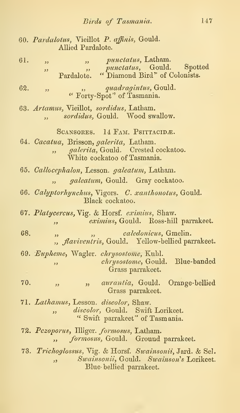|     | 60. Pardalotus, Vieillot P. affinis, Gould.<br>Allied Pardalote.                                                                                                       |
|-----|------------------------------------------------------------------------------------------------------------------------------------------------------------------------|
| 61. | ", <i>punctatus</i> , Latham.<br>$\overline{\mathbf{z}}$<br>punctatus, Gould. Spotted<br>"Diamond Bird" of Colonists.<br>5.5<br>د د<br>Pardalote.                      |
| 62. | quadragintus, Gould.<br>$\overline{\phantom{a}}$<br>" Forty-Spot" of Tasmania.                                                                                         |
|     | 63. Artamus, Vieillot, sordidus, Latham.<br>sordidus, Gould. Wood swallow.<br>$\overline{\phantom{a}}$                                                                 |
|     | SCANSORES. 14 FAM. PSITTACIDÆ.<br>64. Cacatua, Brisson, galerita, Latham.<br>galerita, Gould. Crested cockatoo.<br>$\ddot{\phantom{0}}$<br>White cockatoo of Tasmania. |
|     | 65. Callocephalon, Lesson. galeatum, Latham.<br>galeatum, Gould. Gray cockatoo.                                                                                        |
|     | 66. Calyptorhynchus, Vigors. C. xanthonotus, Gould.<br>Black cockatoo.                                                                                                 |
|     | 67. Platycercus, Vig. & Horsf. eximius, Shaw.<br>eximius, Gould. Ross-hill parrakeet.<br>$, \,$                                                                        |
| 68. | caledonicus, Gmelin.<br>, ,<br>", <i>flaviventris</i> , Gould. Yellow-bellied parrakeet.                                                                               |
|     | 69. Eupheme, Wagler. chrysostome, Kuhl.<br>chrysostome, Gould. Blue-banded<br>دد<br>Grass parrakeet.                                                                   |
| 70. | ", aurantia, Gould. Orange-bellied<br>52<br>Grass parrakeet.                                                                                                           |
|     | 71. Lathamus, Lesson. discolor, Shaw.<br>discolor, Gould. Swift Lorikeet.<br>55 <sub>1</sub><br>" Swift parrakeet" of Tasmania.                                        |
|     | 72. Pczoporus, Illiger. formosus, Latham.<br>formosus, Gould. Ground parrakeet.<br>$\overline{\phantom{a}}$                                                            |
|     | 73. Trichoglossus, Vig. & Horsf. Swainsonii, Jard. & Sel.<br>Swainsonii, Gould. Swainson's Lorikeet.<br>دد<br>Blue-bellied parrakeet.                                  |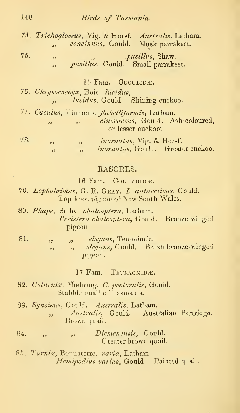# 148 Birds of Tasmania.

74. Trichoglossus, Vig. & Horsf. Australis, Latham. ,, concinnus, Gould. Musk parrakeet.

 $75.$   $\qquad \qquad$ ,  $pusillus$ , Shaw. <sup>1</sup>, *pusillus*, Gould. Small parrakeet.

 $15$  Fam. Cuculid $\overline{\mathcal{R}}$ .

- 76. Chrysococcyx, Boie. lucidus, lucidus, Gould. Shining cuckoo. .<br>د و
- 77. Cuculus, Linnæus. *flabelliformis*, Latham. , cineraceus, Gould. Ash-coloured, or lesser cuckoo. 78. ,, ,,  $inomatus$ ,  $\forall$ ig. & Horsf. " *inornatus*, Gould. Greater cuckoo.

## EASOEES.

16 Fam. COLUMBIDÆ.

- 79. Lopholaimus, G. E. Gray. Z. antarcticus, Gould. Top-knot pigeon of New South Wales.
- 80. Phaps, Selby. chalcoptera, Latham. Peristera chalcoptera, Gould. Bronze-winged pigeon.
- 81. " " " elegans, Temminck. ,, ,, elegans, Gould. Brush bronze-winged pigeon.

17 Fam. TETRAONIDÆ.

- 82. Coturnix, Moehring. C. pectoralis, Gould. Stubble quail of Tasmania.
- 83. Synoicus, Gould. Australis, Latham. , Australis, Gould. Australian Partridge. Brown quail.
- 84. , , , Diemenensis, Gould. Greater brown quail.
- 86. Turnix, Bonnaterre. varia, Latham. Hemipodius varius, Gould. Painted quail.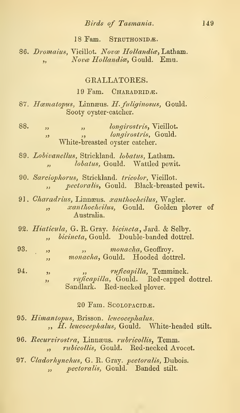### Birds of Tasmania. 149

#### 18 Fam. STRUTHONIDÆ.

86. Dromaius, Vieillot. Novæ Hollandiæ. Latham. . Nova Hollandia, Gould. Emu.

## GRALLATOKES.

19 Fam. CHARADRIDE.

87. Hæmatopus, Linnæus. H. fuliginosus, Gould. Sooty oyster-catcher.

- 88. " " " , dongirostris, Vieillot. <sup>1</sup>, *longirostris*, Gould. White-breasted oyster catcher.
- 89. Lobivanellus, Strickland. lobatus, Latham. ,, *lobatus*, Gould. Wattled pewit.
- 90. Sarciophorus, Strickland. tricolor, Vieillot. ", pectoralis, Gould. Black-breasted pewit.
- 91. Charadrius, Linnæus. xanthocheilus, Wagler. ,, xanthocheilus, Gould. Golden plover of Australia.
- 92. Hiaticula, G. R. Gray, hicincta, Jard. & Selby. ., bicincta, Gould. Double-banded dottrel.
- 93.  $\qquad \qquad$ ,  $\qquad \qquad$ ,  $\qquad \qquad$  monacha, Geoffroy. ,, monacha, Gould. Hooded dottrel.
- 94. , which must be expected. ,, ruficapilla, Gould. Red-capped dottrel. Sandlark. Red-necked plover.

#### 20 Fam. SCOLOPACIDE.

- 95. Himantopus, Erisson. leucocephalus. ,, H. leucocephalus, Gould. White-headed stilt.
- 96. Recurvirostra, Linnæus. rubricollis, Temm. ,, *rubicollis*, Gould. Red-necked Avocet.
- 97. Cladorhynchus, G. R. Gray, pectoralis, Dubois. " *pectoralis*, Gould. Banded stilt.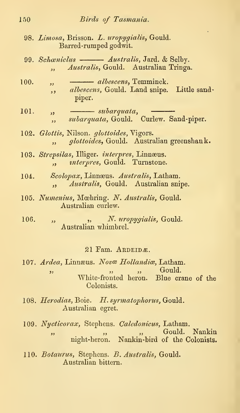- 98. Limosa, Brisson. L. uropygialis, Gould. Barred-rumped godwit.
- 99. Schæniclus Australis, Jard. & Selby. ., *Australis*, Gould. Australian Tringa.
- 100.  $\qquad$ ,  $\qquad$  *albescens*, Temminck. ,, albescens, Gould. Land snipe. Little sandpiper.
- 101.  $\qquad \qquad$ ,  $\qquad \qquad$  subarquata, subarquata, Gould. Curlew. Sand-piper.  $\overline{\mathbf{z}}$
- 102. Glottis, Nilson. glottoides, Vigors. ., glottoides, Gould. Australian greenshank.
- 103. Strepsilas, Illiger. interpres, Linnæus. ., *interpres*, Gould. Turnstone.
- 104. Scolopax, Linnæus. Australis, Latham. ,, *Australis*, Gould. Australian snipe.
- 105. Numenius, Mœhring. N. Australis, Gould. Australian curlew.
- 106. " , W. uropygialis, Gould. Australian whimbrel.

#### 21 Fam. ARDEIDE.

- 107. Ardea, Linnæus. Novæ Hollandiæ, Latham. ,  $\alpha$ ,  $\beta$ ,  $\beta$ ,  $\beta$ ,  $\beta$ ,  $\beta$ ,  $\alpha$ ,  $\beta$ ,  $\beta$ ,  $\alpha$ ,  $\beta$ ,  $\alpha$ ,  $\beta$ ,  $\alpha$ ,  $\beta$ ,  $\alpha$ ,  $\beta$ ,  $\alpha$ ,  $\beta$ ,  $\alpha$ ,  $\alpha$ ,  $\alpha$ ,  $\alpha$ ,  $\alpha$ ,  $\alpha$ ,  $\alpha$ ,  $\alpha$ ,  $\alpha$ ,  $\alpha$ ,  $\alpha$ ,  $\alpha$ ,  $\alpha$ ,  $\alpha$ ,  $\alpha$ ,  $\alpha$ ,  $\alpha$ ,  $\alpha$ White-fronted heron. Blue crane of the Colonists.
- 108. Herodias, Boie. H. syrmatophorus, Gould. Australian egret.
- 109. Nycticorax, Stephens. Caledonicus, Latham. " , " , Gould. Nankin"<br>"
night-heron. Nankin-bird of the Colonists. Nankin-bird of the Colonists.
- 110. Botaurus, Stephens. B. Australis, Gould. Australian bittern.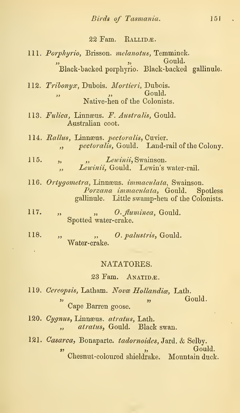### 22 Fam. RALLIDÆ.

- 111. Porphyrio, Brisson. melanotus, Temminck.<br>
Gould.  $\frac{1}{2}$   $\frac{1}{2}$   $\frac{1}{2}$   $\frac{1}{2}$   $\frac{1}{2}$   $\frac{1}{2}$   $\frac{1}{2}$   $\frac{1}{2}$   $\frac{1}{2}$   $\frac{1}{2}$   $\frac{1}{2}$   $\frac{1}{2}$   $\frac{1}{2}$   $\frac{1}{2}$   $\frac{1}{2}$   $\frac{1}{2}$   $\frac{1}{2}$   $\frac{1}{2}$   $\frac{1}{2}$   $\frac{1}{2}$   $\frac{1}{2}$   $\frac{1}{2}$  Black-backed porphyrio. Black-backed gallinule.
- 112. Tribonyx, Dubois. Mortieri, Dubois.<br>Gould.  $\alpha$ , Gould. Native-ben of tbe Colonists.
- 113. Fulica, Linnæus. F. Australis, Gould. Australian coot.
- 114. Rallus, Linnæus. pectoralis, Cuvier. ", pectoralis, Gould. Land-rail of the Colony.
- 115. " *Lewinii*, Swainson. , Lewinii, Gould. Lewin's water-rail.
- 116. Ortygometra, Linnæus. immaculata, Swainson. Porzana immaculata, Gould. Spotless gallinule. Little swamp-ben of the Colonists.
- $117.$  "  $\ldots$   $\ldots$   $\ldots$   $\ldots$   $\ldots$   $\ldots$   $\ldots$   $\ldots$   $\ldots$   $\ldots$   $\ldots$   $\ldots$   $\ldots$   $\ldots$   $\ldots$   $\ldots$   $\ldots$   $\ldots$   $\ldots$   $\ldots$   $\ldots$   $\ldots$   $\ldots$   $\ldots$   $\ldots$   $\ldots$   $\ldots$   $\ldots$   $\ldots$   $\ldots$   $\ldots$   $\ldots$   $\ldots$   $\ldots$   $\ldots$   $\$ Spotted water-crake.
- 118. " ,, O. pahistris, Gould. Water-crake.

#### NATATORES.

# 23 Fam. ANATIDÆ.

- 119. Cereopsis, Latham. Novæ Hollandiæ, Lath. i, Gould. Some that the contract of the contract of the contract of the contract of the contract of the contract of the contract of the contract of the contract of the contract of the contract of the contract of the contra Cape Barren goose.
- 120. Cygnus, Linnæus. atratus, Lath. , atratus, Gould. Black swan.
- 121. Casarca, Bonaparte. tadornoides, Jard. & Selby.<br>
Gould.  $\mathcal{D}$ , Gould. Cbesnut-coloured shieldrake. Mountain duck.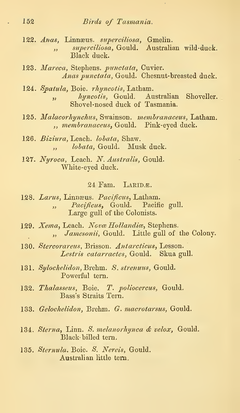- 122. Anas, Linnæus. superciliosa, Gmelin. ,, superciliosa, Gould. Australian wild-duck. Black duck.
- 123. Mareca, Stephens. punctata, Cuvier. Anas punctata, Gould. Chesnut-breasted duck.
- 124. Spatula, Boie. rhyncotis, Latham. ,, hyncotis, Gould. Australian Shoveller. Shovel-nosed duck of Tasmania.
- 125. Malacorhynchus, Swainson. membranaceus, Latham. ,, membranaceus, Gould. Pink-eyed duck.
- 126. Biziura, Leach, lohata, Shaw. .. *lobata*, Gould. Musk duck.
- 127. Nyroca, Leach. N. Australis, Gould. White-eyed duck.

#### $24$  Fam. LARIDE.

- 128. Larus, Linnæus. Pacificus, Latham. " Pacificus, Gould. Pacific gull. Large gull of the Colonists.
- 129. Xema, Leach. Novæ Hollandiæ, Stephens. ,, Jamesonii, Gould. Little gull of the Colony.
- 130. Stercorareus, Brisson. Antarcticus, Lesson. Lestris catarractes, Gould. Skua gull.
- 131. Sylochelidon, Brehm. S. strenuus, Gould. Powerful tern.
- 132. Thalasseus, Boie. T. poliocercus, Gould. Bass's Straits Tern.
- 133. Gelochelidon, Brehm. G. macrotarsus, Gould.
- 134. Sterna, Linn. S. melanorhynca & velox, Gould. Black- hilled tern.
- 135. Sternula. Boie. 8. Nereis, Gould. Australian little tern.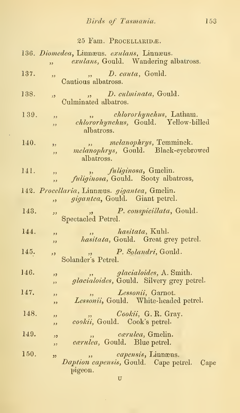|  |  | 25 Fam. Procellaridæ. |  |
|--|--|-----------------------|--|
|--|--|-----------------------|--|

|      | $\overline{\mathbf{z}}$ | 136. Diomedea, Linnæus. exulans, Linnæus.<br>exulans, Gould. Wandering albatross.     |
|------|-------------------------|---------------------------------------------------------------------------------------|
| 137. | وو                      | D. cauta, Gould.<br>$\overline{\phantom{a}}$<br>Cautious albatross.                   |
| 138. | ود                      | D. culminata, Gould.<br>Culminated albatros.                                          |
| 139. | 53<br>و و               | <i>chlororhynchus</i> , Latham.<br>chlororhynchus, Gould. Yellow-billed<br>albatross. |
| 140. | و و<br>ود               | melanophrys, Temminck.<br>55<br>melanophrys, Gould. Black-eyebrowed<br>albatross.     |
| 141. | ر ر<br>دد               | fuliginosa, Gmelin.<br>fuliginosa, Gould. Sooty albatross,                            |
|      | , ,                     | 142. Procellaria, Linnæus. gigantea, Gmelin.<br>gigantea, Gould. Giant petrel.        |
| 143. | وو                      | <i>P. conspicillata, Gould.</i><br>53 <sup>o</sup><br>Spectacled Petrel.              |
| 144. | ,,<br>و و               | hasitata, Kuhl.<br>hasitata, Gould. Great grey petrel.                                |
| 145. | و د                     | <i>P. Solandri</i> , Gould.<br>Solander's Petrel.                                     |
| 146. | , 2<br>,,               | glacialoides, A. Smith.<br>glacialoides, Gould. Silvery grey petrel.                  |
| 147. | وو<br>,,                | Lessonii, Garnot.<br>Lessonii, Gould. White-headed petrel.                            |
| 148. | دد<br>و و               | Cookii, G. R. Gray.<br>cookii, Gould. Cook's petrel.                                  |
| 149. | 53<br>و د               | <i>cærulea</i> , Gmelin.<br>, ,<br>cærulea, Gould. Blue petrel.                       |
| 150. | 22                      | capensis, Linnæus.<br>Daption capensis, Gould. Cape petrel. Cape<br>pigeon.           |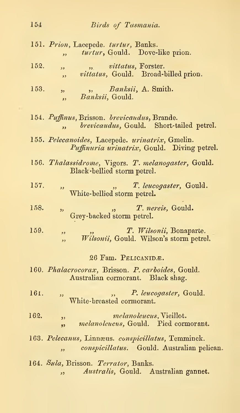|      | 151. Prion, Lacepede. turtur, Banks.<br>turtur, Gould. Dove-like prion.<br>$\overline{\mathbf{z}}$                          |
|------|-----------------------------------------------------------------------------------------------------------------------------|
| 152. | <i>vittatus</i> , Forster.<br>$\overline{\mathbf{z}}$<br>vittatus, Gould. Broad-billed prion.<br>$\overline{\phantom{a}}$   |
| 153. | Banksii, A. Smith.<br>55<br>Banksii, Gould.<br>$\overline{\phantom{a}}$                                                     |
|      | 154. Puffinus, Brisson. brevicaudus, Brande.<br>brevicaudus, Gould. Short-tailed petrel.<br>$\overline{\mathbf{r}}$         |
|      | 155. Pelecanoides, Lacepede. urinatrix, Gmelin.<br>Puffinuria urinatrix, Gould. Diving petrel.                              |
|      | 156. Thalassidrome, Vigors. T. melanogaster, Gould.<br>Black bellied storm petrel.                                          |
| 157. | T. leucogaster, Gould.<br>$\overline{\phantom{a}}$<br>White-bellied storm petrel.                                           |
| 158. | T. nereis, Gould.<br>$\mathfrak{z}$<br>دد<br>Grey-backed storm petrel.                                                      |
| 159. | T. Wilsonii, Bonaparte.<br>53<br>Wilsonii, Gould. Wilson's storm petrel.<br>$\overline{\mathbf{z}}$                         |
|      | 26 Fam. PELICANIDÆ.                                                                                                         |
|      | 160. Phalacrocorax, Brisson. P. carboides, Gould.<br>Australian cormorant. Black shag.                                      |
| 161. | P. leucogaster, Gould.<br>$\overline{\mathbf{z}}$<br>White-breasted cormorant.                                              |
| 162. | <i>melanoleucus</i> , Vieillot.<br>,,<br><i>melanoleucus</i> , Gould. Pied cormorant.<br>$\overline{\mathbf{z}}$            |
|      | 163. Pelecanus, Linnæus. conspicillatus, Temminck.<br>conspicillatus. Gould. Australian pelican.<br>$\overline{\mathbf{z}}$ |
|      | 164. Sula, Brisson. Terrator, Banks.<br>Australis, Gould. Australian gannet.<br>دد                                          |